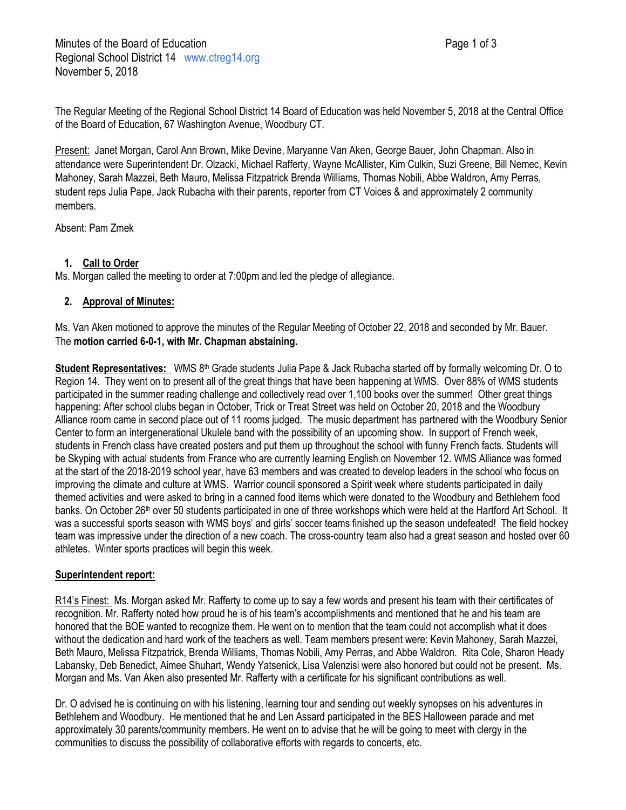The Regular Meeting of the Regional School District 14 Board of Education was held November 5, 2018 at the Central Office of the Board of Education, 67 Washington Avenue, Woodbury CT.

Present: Janet Morgan, Carol Ann Brown, Mike Devine, Maryanne Van Aken, George Bauer, John Chapman. Also in attendance were Superintendent Dr. Olzacki, Michael Rafferty, Wayne McAllister, Kim Culkin, Suzi Greene, Bill Nemec, Kevin Mahoney, Sarah Mazzei, Beth Mauro, Melissa Fitzpatrick Brenda Williams, Thomas Nobili, Abbe Waldron, Amy Perras, student reps Julia Pape, Jack Rubacha with their parents, reporter from CT Voices & and approximately 2 community members.

Absent: Pam Zmek

# **1. Call to Order**

Ms. Morgan called the meeting to order at 7:00pm and led the pledge of allegiance.

# **2. Approval of Minutes:**

Ms. Van Aken motioned to approve the minutes of the Regular Meeting of October 22, 2018 and seconded by Mr. Bauer. The **motion carried 6-0-1, with Mr. Chapman abstaining.**

**Student Representatives:** WMS 8<sup>th</sup> Grade students Julia Pape & Jack Rubacha started off by formally welcoming Dr. O to Region 14. They went on to present all of the great things that have been happening at WMS. Over 88% of WMS students participated in the summer reading challenge and collectively read over 1,100 books over the summer! Other great things happening: After school clubs began in October, Trick or Treat Street was held on October 20, 2018 and the Woodbury Alliance room came in second place out of 11 rooms judged. The music department has partnered with the Woodbury Senior Center to form an intergenerational Ukulele band with the possibility of an upcoming show. In support of French week, students in French class have created posters and put them up throughout the school with funny French facts. Students will be Skyping with actual students from France who are currently learning English on November 12. WMS Alliance was formed at the start of the 2018-2019 school year, have 63 members and was created to develop leaders in the school who focus on improving the climate and culture at WMS. Warrior council sponsored a Spirit week where students participated in daily themed activities and were asked to bring in a canned food items which were donated to the Woodbury and Bethlehem food banks. On October 26<sup>th</sup> over 50 students participated in one of three workshops which were held at the Hartford Art School. It was a successful sports season with WMS boys' and girls' soccer teams finished up the season undefeated! The field hockey team was impressive under the direction of a new coach. The cross-country team also had a great season and hosted over 60 athletes. Winter sports practices will begin this week.

# **Superintendent report:**

R14's Finest: Ms. Morgan asked Mr. Rafferty to come up to say a few words and present his team with their certificates of recognition. Mr. Rafferty noted how proud he is of his team's accomplishments and mentioned that he and his team are honored that the BOE wanted to recognize them. He went on to mention that the team could not accomplish what it does without the dedication and hard work of the teachers as well. Team members present were: Kevin Mahoney, Sarah Mazzei, Beth Mauro, Melissa Fitzpatrick, Brenda Williams, Thomas Nobili, Amy Perras, and Abbe Waldron. Rita Cole, Sharon Heady Labansky, Deb Benedict, Aimee Shuhart, Wendy Yatsenick, Lisa Valenzisi were also honored but could not be present. Ms. Morgan and Ms. Van Aken also presented Mr. Rafferty with a certificate for his significant contributions as well.

Dr. O advised he is continuing on with his listening, learning tour and sending out weekly synopses on his adventures in Bethlehem and Woodbury. He mentioned that he and Len Assard participated in the BES Halloween parade and met approximately 30 parents/community members. He went on to advise that he will be going to meet with clergy in the communities to discuss the possibility of collaborative efforts with regards to concerts, etc.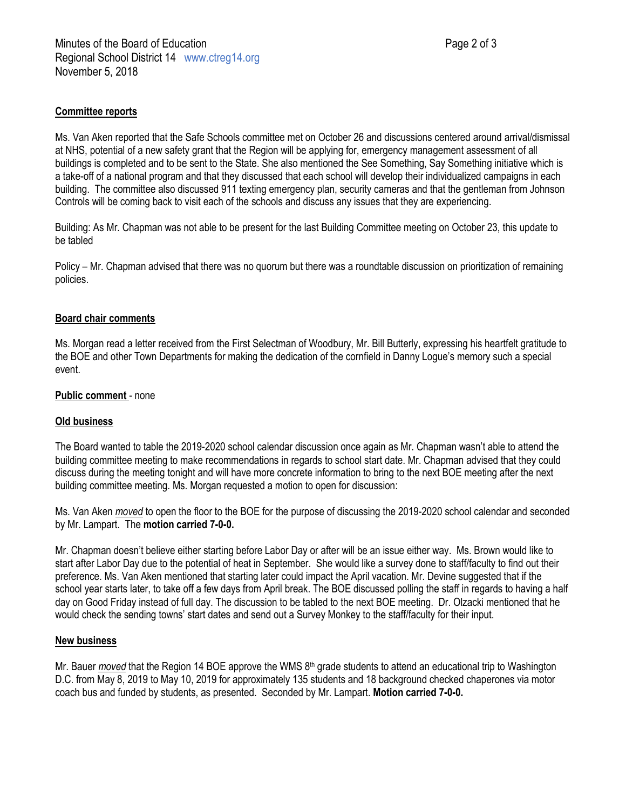### **Committee reports**

Ms. Van Aken reported that the Safe Schools committee met on October 26 and discussions centered around arrival/dismissal at NHS, potential of a new safety grant that the Region will be applying for, emergency management assessment of all buildings is completed and to be sent to the State. She also mentioned the See Something, Say Something initiative which is a take-off of a national program and that they discussed that each school will develop their individualized campaigns in each building. The committee also discussed 911 texting emergency plan, security cameras and that the gentleman from Johnson Controls will be coming back to visit each of the schools and discuss any issues that they are experiencing.

Building: As Mr. Chapman was not able to be present for the last Building Committee meeting on October 23, this update to be tabled

Policy – Mr. Chapman advised that there was no quorum but there was a roundtable discussion on prioritization of remaining policies.

### **Board chair comments**

Ms. Morgan read a letter received from the First Selectman of Woodbury, Mr. Bill Butterly, expressing his heartfelt gratitude to the BOE and other Town Departments for making the dedication of the cornfield in Danny Logue's memory such a special event.

#### **Public comment** - none

### **Old business**

The Board wanted to table the 2019-2020 school calendar discussion once again as Mr. Chapman wasn't able to attend the building committee meeting to make recommendations in regards to school start date. Mr. Chapman advised that they could discuss during the meeting tonight and will have more concrete information to bring to the next BOE meeting after the next building committee meeting. Ms. Morgan requested a motion to open for discussion:

Ms. Van Aken *moved* to open the floor to the BOE for the purpose of discussing the 2019-2020 school calendar and seconded by Mr. Lampart. The **motion carried 7-0-0.**

Mr. Chapman doesn't believe either starting before Labor Day or after will be an issue either way. Ms. Brown would like to start after Labor Day due to the potential of heat in September. She would like a survey done to staff/faculty to find out their preference. Ms. Van Aken mentioned that starting later could impact the April vacation. Mr. Devine suggested that if the school year starts later, to take off a few days from April break. The BOE discussed polling the staff in regards to having a half day on Good Friday instead of full day. The discussion to be tabled to the next BOE meeting. Dr. Olzacki mentioned that he would check the sending towns' start dates and send out a Survey Monkey to the staff/faculty for their input.

### **New business**

Mr. Bauer *moved* that the Region 14 BOE approve the WMS 8<sup>th</sup> grade students to attend an educational trip to Washington D.C. from May 8, 2019 to May 10, 2019 for approximately 135 students and 18 background checked chaperones via motor coach bus and funded by students, as presented. Seconded by Mr. Lampart. **Motion carried 7-0-0.**